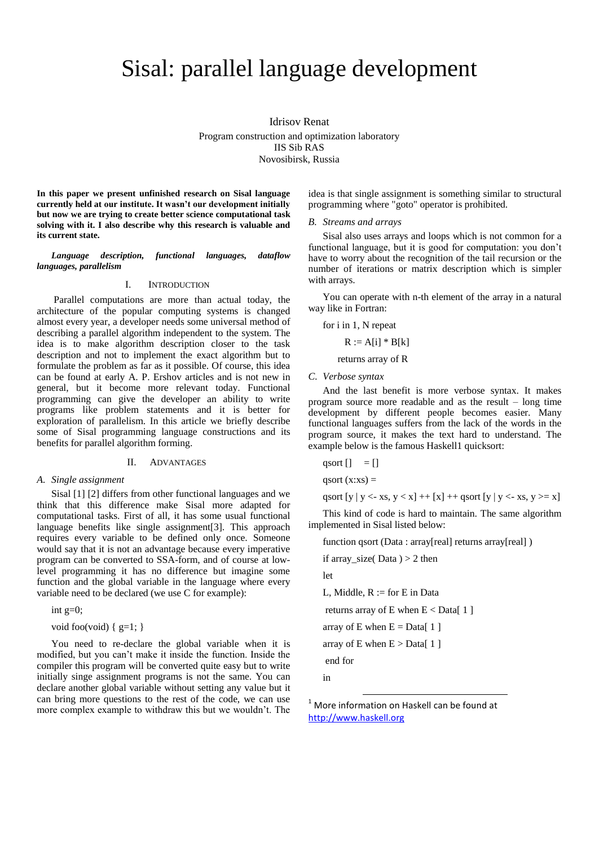# Sisal: parallel language development

Idrisov Renat Program construction and optimization laboratory IIS Sib RAS Novosibirsk, Russia

**In this paper we present unfinished research on Sisal language currently held at our institute. It wasn't our development initially but now we are trying to create better science computational task solving with it. I also describe why this research is valuable and its current state.**

*Language description, functional languages, dataflow languages, parallelism*

#### I. INTRODUCTION

Parallel computations are more than actual today, the architecture of the popular computing systems is changed almost every year, a developer needs some universal method of describing a parallel algorithm independent to the system. The idea is to make algorithm description closer to the task description and not to implement the exact algorithm but to formulate the problem as far as it possible. Of course, this idea can be found at early A. P. Ershov articles and is not new in general, but it become more relevant today. Functional programming can give the developer an ability to write programs like problem statements and it is better for exploration of parallelism. In this article we briefly describe some of Sisal programming language constructions and its benefits for parallel algorithm forming.

#### II. ADVANTAGES

#### *A. Single assignment*

Sisal [1] [2] differs from other functional languages and we think that this difference make Sisal more adapted for computational tasks. First of all, it has some usual functional language benefits like single assignment[3]. This approach requires every variable to be defined only once. Someone would say that it is not an advantage because every imperative program can be converted to SSA-form, and of course at lowlevel programming it has no difference but imagine some function and the global variable in the language where every variable need to be declared (we use C for example):

int  $g=0$ ;

void foo(void) {  $g=1$ ; }

You need to re-declare the global variable when it is modified, but you can't make it inside the function. Inside the compiler this program will be converted quite easy but to write initially singe assignment programs is not the same. You can declare another global variable without setting any value but it can bring more questions to the rest of the code, we can use more complex example to withdraw this but we wouldn't. The idea is that single assignment is something similar to structural programming where "goto" operator is prohibited.

#### *B. Streams and arrays*

Sisal also uses arrays and loops which is not common for a functional language, but it is good for computation: you don't have to worry about the recognition of the tail recursion or the number of iterations or matrix description which is simpler with arrays.

You can operate with n-th element of the array in a natural way like in Fortran:

for i in 1, N repeat

$$
R := A[i] * B[k]
$$

returns array of R

*C. Verbose syntax*

And the last benefit is more verbose syntax. It makes program source more readable and as the result – long time development by different people becomes easier. Many functional languages suffers from the lack of the words in the program source, it makes the text hard to understand. The example below is the famous Haskell1 quicksort:

```
qsort \begin{bmatrix} \end{bmatrix} = \begin{bmatrix} \end{bmatrix}qsort (x:xs) =
qsort [y | y < x, y < x] + [x] + qsort [y | y < x, y > x]
```
This kind of code is hard to maintain. The same algorithm implemented in Sisal listed below:

function qsort (Data : array[real] returns array[real] )

if array\_size( $Data$ ) > 2 then

let

L, Middle,  $R :=$  for  $E$  in Data

returns array of E when  $E <$  Data[ 1 ]

array of E when  $E = Data[1]$ 

array of E when  $E > Data[1]$ 

1

end for

in

 $1$  More information on Haskell can be found at [http://www.haskell.org](http://www.haskell.org/)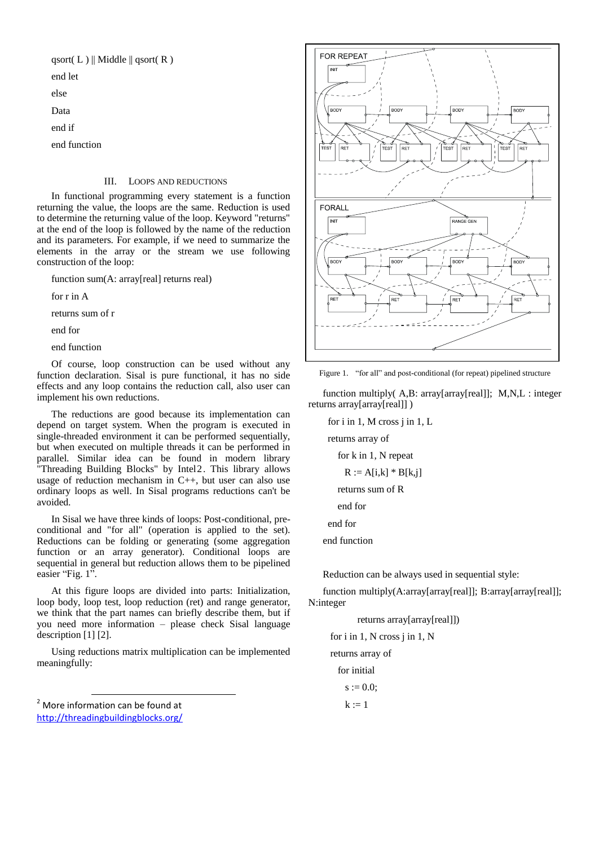qsort $(L)$ || Middle || qsort $(R)$ end let

else

Data

end if

end function

# III. LOOPS AND REDUCTIONS

In functional programming every statement is a function returning the value, the loops are the same. Reduction is used to determine the returning value of the loop. Keyword "returns" at the end of the loop is followed by the name of the reduction and its parameters. For example, if we need to summarize the elements in the array or the stream we use following construction of the loop:

function sum(A: array[real] returns real)

for r in A

returns sum of r

end for

end function

Of course, loop construction can be used without any function declaration. Sisal is pure functional, it has no side effects and any loop contains the reduction call, also user can implement his own reductions.

The reductions are good because its implementation can depend on target system. When the program is executed in single-threaded environment it can be performed sequentially, but when executed on multiple threads it can be performed in parallel. Similar idea can be found in modern library "Threading Building Blocks" by Intel2. This library allows usage of reduction mechanism in C++, but user can also use ordinary loops as well. In Sisal programs reductions can't be avoided.

In Sisal we have three kinds of loops: Post-conditional, preconditional and "for all" (operation is applied to the set). Reductions can be folding or generating (some aggregation function or an array generator). Conditional loops are sequential in general but reduction allows them to be pipelined easier "Fig. 1".

At this figure loops are divided into parts: Initialization, loop body, loop test, loop reduction (ret) and range generator, we think that the part names can briefly describe them, but if you need more information – please check Sisal language description [1] [2].

Using reductions matrix multiplication can be implemented meaningfully:

<sup>2</sup> More information can be found at <http://threadingbuildingblocks.org/>

-



Figure 1. "for all" and post-conditional (for repeat) pipelined structure

function multiply( A,B: array[array[real]]; M,N,L : integer returns array[array[real]] )

for i in 1, M cross j in 1, L

returns array of

for k in 1, N repeat  

$$
R := A[i,k] * B[k,j]
$$

returns sum of R

end for

end for

end function

Reduction can be always used in sequential style:

function multiply(A:array[array[real]]; B:array[array[real]]; N:integer

 returns array[array[real]]) for i in 1, N cross j in 1, N returns array of for initial  $s := 0.0;$  $k := 1$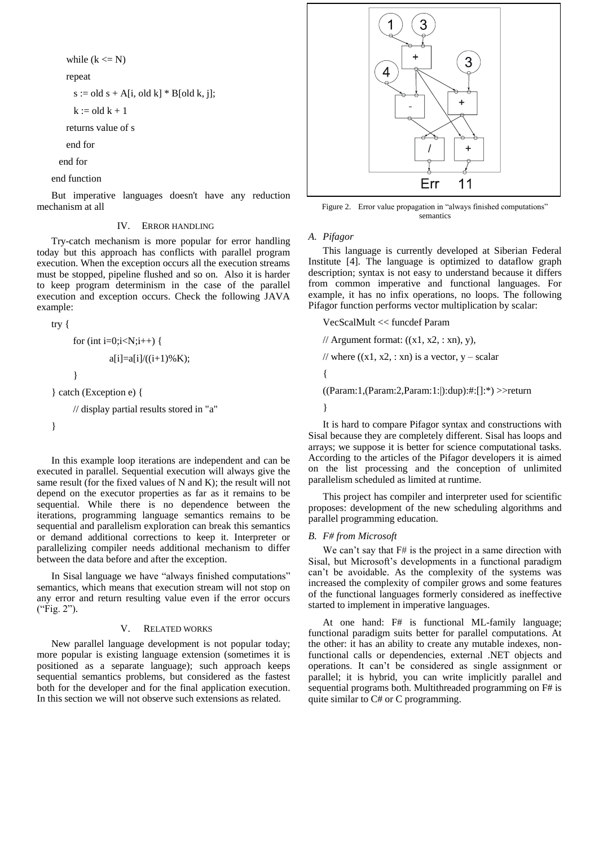while  $(k \le N)$ 

repeat

 $s := old s + A[i, old k] * B[old k, j];$ 

 $k :=$  old  $k + 1$ 

returns value of s

end for

end for

end function

But imperative languages doesn't have any reduction mechanism at all

# IV. ERROR HANDLING

Try-catch mechanism is more popular for error handling today but this approach has conflicts with parallel program execution. When the exception occurs all the execution streams must be stopped, pipeline flushed and so on. Also it is harder to keep program determinism in the case of the parallel execution and exception occurs. Check the following JAVA example:

try {

for (int i=0;i 
$$
a[i]=a[i]/((i+1)\%K);
$$
 }

} catch (Exception e) {

// display partial results stored in "a"

}

In this example loop iterations are independent and can be executed in parallel. Sequential execution will always give the same result (for the fixed values of N and K); the result will not depend on the executor properties as far as it remains to be sequential. While there is no dependence between the iterations, programming language semantics remains to be sequential and parallelism exploration can break this semantics or demand additional corrections to keep it. Interpreter or parallelizing compiler needs additional mechanism to differ between the data before and after the exception.

In Sisal language we have "always finished computations" semantics, which means that execution stream will not stop on any error and return resulting value even if the error occurs ("Fig. 2").

# V. RELATED WORKS

New parallel language development is not popular today; more popular is existing language extension (sometimes it is positioned as a separate language); such approach keeps sequential semantics problems, but considered as the fastest both for the developer and for the final application execution. In this section we will not observe such extensions as related.



Figure 2. Error value propagation in "always finished computations" semantics

#### *A. Pifagor*

This language is currently developed at Siberian Federal Institute [4]. The language is optimized to dataflow graph description; syntax is not easy to understand because it differs from common imperative and functional languages. For example, it has no infix operations, no loops. The following Pifagor function performs vector multiplication by scalar:

VecScalMult << funcdef Param

// Argument format:  $((x1, x2, : xn), y)$ , // where  $((x1, x2, : xn)$  is a vector, y – scalar { ((Param:1,(Param:2,Param:1:|):dup):#:[]:\*) >>return }

It is hard to compare Pifagor syntax and constructions with Sisal because they are completely different. Sisal has loops and arrays; we suppose it is better for science computational tasks. According to the articles of the Pifagor developers it is aimed on the list processing and the conception of unlimited parallelism scheduled as limited at runtime.

This project has compiler and interpreter used for scientific proposes: development of the new scheduling algorithms and parallel programming education.

# *B. F# from Microsoft*

We can't say that  $F#$  is the project in a same direction with Sisal, but Microsoft's developments in a functional paradigm can't be avoidable. As the complexity of the systems was increased the complexity of compiler grows and some features of the functional languages formerly considered as ineffective started to implement in imperative languages.

At one hand: F# is functional ML-family language; functional paradigm suits better for parallel computations. At the other: it has an ability to create any mutable indexes, nonfunctional calls or dependencies, external .NET objects and operations. It can't be considered as single assignment or parallel; it is hybrid, you can write implicitly parallel and sequential programs both. Multithreaded programming on F# is quite similar to C# or C programming.